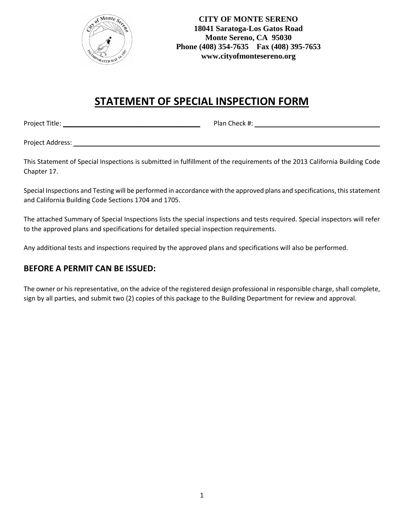

# **STATEMENT OF SPECIAL INSPECTION FORM**

Project Title: \_\_\_\_\_\_\_\_\_\_\_\_\_\_\_\_\_\_\_\_\_\_\_\_\_\_\_\_\_\_\_\_\_\_\_\_\_\_ Plan Check #:

Project Address:

This Statement of Special Inspections is submitted in fulfillment of the requirements of the 2013 California Building Code Chapter 17.

Special Inspections and Testing will be performed in accordance with the approved plans and specifications, this statement and California Building Code Sections 1704 and 1705.

The attached Summary of Special Inspections lists the special inspections and tests required. Special inspectors will refer to the approved plans and specifications for detailed special inspection requirements.

Any additional tests and inspections required by the approved plans and specifications will also be performed.

### **BEFORE A PERMIT CAN BE ISSUED:**

The owner or his representative, on the advice of the registered design professional in responsible charge, shall complete, sign by all parties, and submit two (2) copies of this package to the Building Department for review and approval.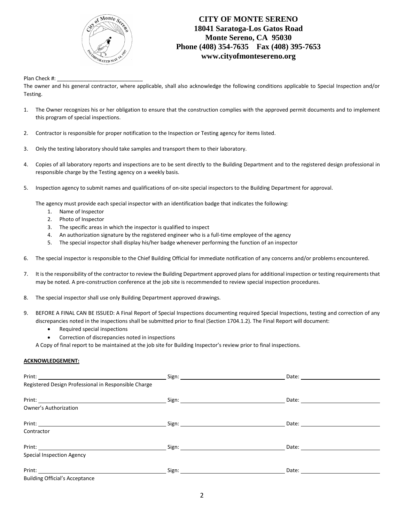

Plan Check #:

The owner and his general contractor, where applicable, shall also acknowledge the following conditions applicable to Special Inspection and/or Testing.

- 1. The Owner recognizes his or her obligation to ensure that the construction complies with the approved permit documents and to implement this program of special inspections.
- 2. Contractor is responsible for proper notification to the Inspection or Testing agency for items listed.
- 3. Only the testing laboratory should take samples and transport them to their laboratory.
- 4. Copies of all laboratory reports and inspections are to be sent directly to the Building Department and to the registered design professional in responsible charge by the Testing agency on a weekly basis.
- 5. Inspection agency to submit names and qualifications of on-site special inspectors to the Building Department for approval.

The agency must provide each special inspector with an identification badge that indicates the following:

- 1. Name of Inspector
- 2. Photo of Inspector
- 3. The specific areas in which the inspector is qualified to inspect
- 4. An authorization signature by the registered engineer who is a full-time employee of the agency
- 5. The special inspector shall display his/her badge whenever performing the function of an inspector
- 6. The special inspector is responsible to the Chief Building Official for immediate notification of any concerns and/or problems encountered.
- 7. It is the responsibility of the contractor to review the Building Department approved plans for additional inspection or testing requirements that may be noted. A pre-construction conference at the job site is recommended to review special inspection procedures.
- 8. The special inspector shall use only Building Department approved drawings.
- 9. BEFORE A FINAL CAN BE ISSUED: A Final Report of Special Inspections documenting required Special Inspections, testing and correction of any discrepancies noted in the inspections shall be submitted prior to final (Section 1704.1.2). The Final Report will document:
	- Required special inspections
	- Correction of discrepancies noted in inspections

A Copy of final report to be maintained at the job site for Building Inspector's review prior to final inspections.

#### **ACKNOWLEDGEMENT:**

| Registered Design Professional in Responsible Charge |                                 |  |
|------------------------------------------------------|---------------------------------|--|
|                                                      | Date: _________________________ |  |
| <b>Owner's Authorization</b>                         |                                 |  |
|                                                      |                                 |  |
| Contractor                                           |                                 |  |
|                                                      | Date: _______________________   |  |
| <b>Special Inspection Agency</b>                     |                                 |  |
|                                                      |                                 |  |
| <b>Building Official's Accentance</b>                |                                 |  |

Building Official's Acceptance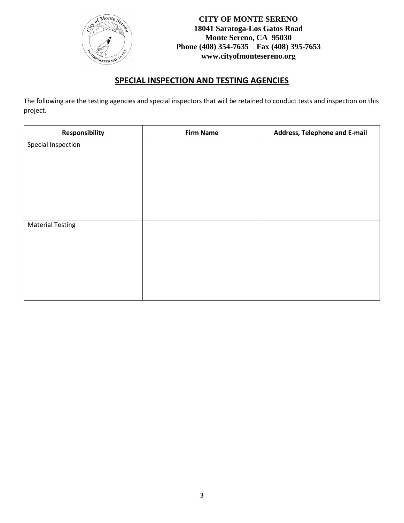

### **SPECIAL INSPECTION AND TESTING AGENCIES**

The following are the testing agencies and special inspectors that will be retained to conduct tests and inspection on this project.

| Responsibility            | <b>Firm Name</b> | Address, Telephone and E-mail |
|---------------------------|------------------|-------------------------------|
| <b>Special Inspection</b> |                  |                               |
|                           |                  |                               |
|                           |                  |                               |
|                           |                  |                               |
|                           |                  |                               |
|                           |                  |                               |
|                           |                  |                               |
| <b>Material Testing</b>   |                  |                               |
|                           |                  |                               |
|                           |                  |                               |
|                           |                  |                               |
|                           |                  |                               |
|                           |                  |                               |
|                           |                  |                               |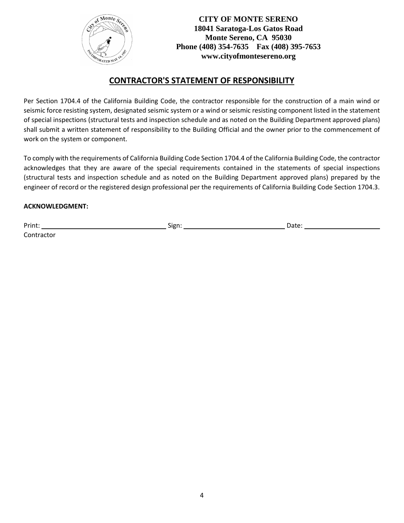

## **CONTRACTOR'S STATEMENT OF RESPONSIBILITY**

Per Section 1704.4 of the California Building Code, the contractor responsible for the construction of a main wind or seismic force resisting system, designated seismic system or a wind or seismic resisting component listed in the statement of special inspections (structural tests and inspection schedule and as noted on the Building Department approved plans) shall submit a written statement of responsibility to the Building Official and the owner prior to the commencement of work on the system or component.

To comply with the requirements of California Building Code Section 1704.4 of the California Building Code, the contractor acknowledges that they are aware of the special requirements contained in the statements of special inspections (structural tests and inspection schedule and as noted on the Building Department approved plans) prepared by the engineer of record or the registered design professional per the requirements of California Building Code Section 1704.3.

#### **ACKNOWLEDGMENT:**

Print: Sign: Date:

**Contractor**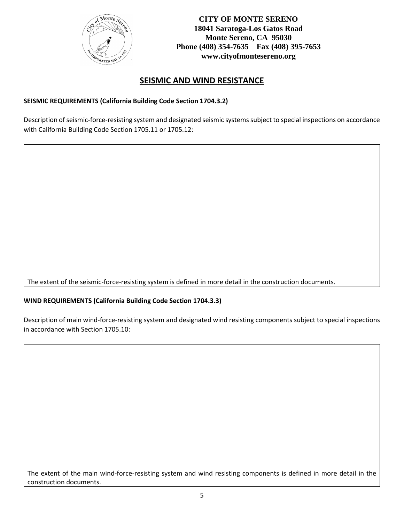

### **SEISMIC AND WIND RESISTANCE**

#### **SEISMIC REQUIREMENTS (California Building Code Section 1704.3.2)**

Description of seismic-force-resisting system and designated seismic systems subject to special inspections on accordance with California Building Code Section 1705.11 or 1705.12:

The extent of the seismic-force-resisting system is defined in more detail in the construction documents.

#### **WIND REQUIREMENTS (California Building Code Section 1704.3.3)**

Description of main wind-force-resisting system and designated wind resisting components subject to special inspections in accordance with Section 1705.10:

The extent of the main wind-force-resisting system and wind resisting components is defined in more detail in the construction documents.